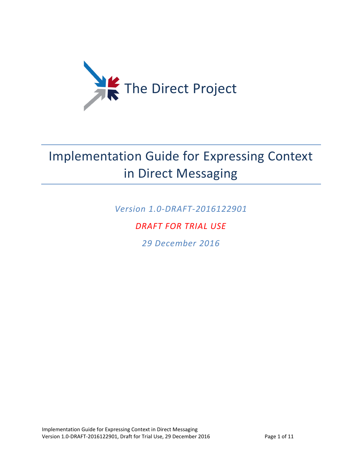

# Implementation Guide for Expressing Context in Direct Messaging

*Version 1.0-DRAFT-2016122901*

#### *DRAFT FOR TRIAL USE*

*29 December 2016*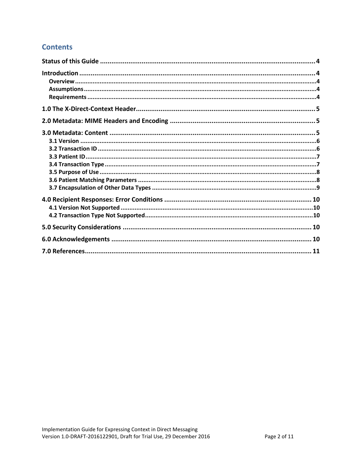#### **Contents**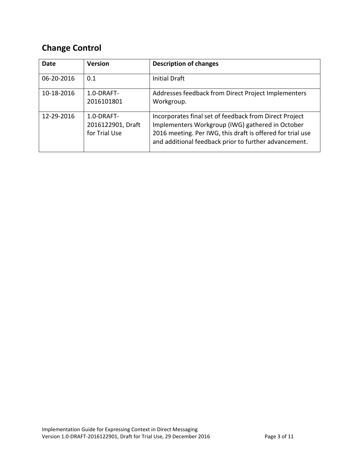### **Change Control**

| <b>Date</b> | <b>Version</b>                                   | <b>Description of changes</b>                                                                                                                                                                                                     |
|-------------|--------------------------------------------------|-----------------------------------------------------------------------------------------------------------------------------------------------------------------------------------------------------------------------------------|
| 06-20-2016  | 0.1                                              | <b>Initial Draft</b>                                                                                                                                                                                                              |
| 10-18-2016  | 1.0-DRAFT-<br>2016101801                         | Addresses feedback from Direct Project Implementers<br>Workgroup.                                                                                                                                                                 |
| 12-29-2016  | 1.0-DRAFT-<br>2016122901, Draft<br>for Trial Use | Incorporates final set of feedback from Direct Project<br>Implementers Workgroup (IWG) gathered in October<br>2016 meeting. Per IWG, this draft is offered for trial use<br>and additional feedback prior to further advancement. |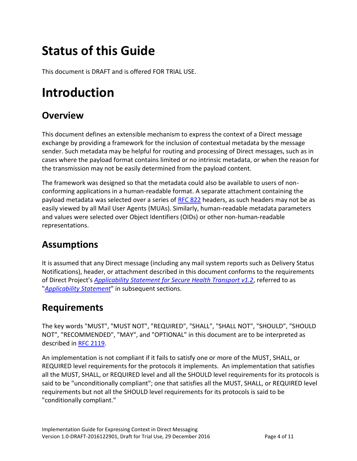# <span id="page-3-0"></span>**Status of this Guide**

This document is DRAFT and is offered FOR TRIAL USE.

### <span id="page-3-1"></span>**Introduction**

#### <span id="page-3-2"></span>**Overview**

This document defines an extensible mechanism to express the context of a Direct message exchange by providing a framework for the inclusion of contextual metadata by the message sender. Such metadata may be helpful for routing and processing of Direct messages, such as in cases where the payload format contains limited or no intrinsic metadata, or when the reason for the transmission may not be easily determined from the payload content.

The framework was designed so that the metadata could also be available to users of nonconforming applications in a human-readable format. A separate attachment containing the payload metadata was selected over a series of [RFC 822](http://tools.ietf.org/html/rfc822) headers, as such headers may not be as easily viewed by all Mail User Agents (MUAs). Similarly, human-readable metadata parameters and values were selected over Object Identifiers (OIDs) or other non-human-readable representations.

#### <span id="page-3-3"></span>**Assumptions**

It is assumed that any Direct message (including any mail system reports such as Delivery Status Notifications), header, or attachment described in this document conforms to the requirements of Direct Project's *[Applicability Statement for Secure Health Transport v1.2](http://wiki.directproject.org/file/view/Applicability+Statement+for+Secure+Health+Transport+v1.2.pdf)*, referred to as "*[Applicability Statement](http://wiki.directproject.org/file/view/Applicability+Statement+for+Secure+Health+Transport+v1.2.pdf)*" in subsequent sections.

#### <span id="page-3-4"></span>**Requirements**

The key words "MUST", "MUST NOT", "REQUIRED", "SHALL", "SHALL NOT", "SHOULD", "SHOULD NOT", "RECOMMENDED", "MAY", and "OPTIONAL" in this document are to be interpreted as described in [RFC 2119.](http://tools.ietf.org/html/rfc2119)

An implementation is not compliant if it fails to satisfy one or more of the MUST, SHALL, or REQUIRED level requirements for the protocols it implements. An implementation that satisfies all the MUST, SHALL, or REQUIRED level and all the SHOULD level requirements for its protocols is said to be "unconditionally compliant"; one that satisfies all the MUST, SHALL, or REQUIRED level requirements but not all the SHOULD level requirements for its protocols is said to be "conditionally compliant."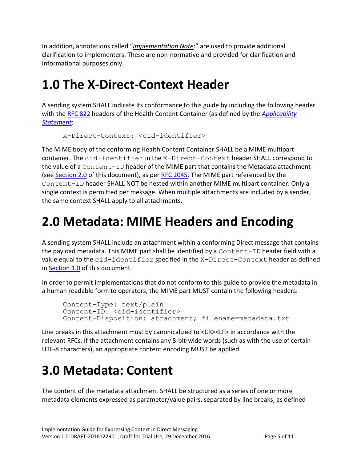In addition, annotations called "*Implementation Note*:" are used to provide additional clarification to implementers. These are non-normative and provided for clarification and informational purposes only.

### <span id="page-4-0"></span>**1.0 The X-Direct-Context Header**

A sending system SHALL indicate its conformance to this guide by including the following header with the [RFC 822](http://tools.ietf.org/html/rfc822) headers of the Health Content Container (as defined by the *[Applicability](http://wiki.directproject.org/file/view/Applicability+Statement+for+Secure+Health+Transport+v1.2.pdf)  [Statement](http://wiki.directproject.org/file/view/Applicability+Statement+for+Secure+Health+Transport+v1.2.pdf)*:

```
X-Direct-Context: <cid-identifier>
```
The MIME body of the conforming Health Content Container SHALL be a MIME multipart container. The cid-identifier in the X-Direct-Context header SHALL correspond to the value of a Content-ID header of the MIME part that contains the Metadata attachment (see [Section 2.0](#page-4-1) of this document), as per [RFC 2045.](http://tools.ietf.org/html/rfc2045) The MIME part referenced by the Content-ID header SHALL NOT be nested within another MIME multipart container. Only a single context is permitted per message. When multiple attachments are included by a sender, the same context SHALL apply to all attachments.

# <span id="page-4-1"></span>**2.0 Metadata: MIME Headers and Encoding**

A sending system SHALL include an attachment within a conforming Direct message that contains the payload metadata. This MIME part shall be identified by a Content-ID header field with a value equal to the cid-identifier specified in the X-Direct-Context header as defined in [Section 1.0](#page-4-0) of this document.

In order to permit implementations that do not conform to this guide to provide the metadata in a human readable form to operators, the MIME part MUST contain the following headers:

```
Content-Type: text/plain
Content-ID: <cid-identifier>
Content-Disposition: attachment; filename=metadata.txt
```
Line breaks in this attachment must by canonicalized to <CR><LF> in accordance with the relevant RFCs. If the attachment contains any 8-bit-wide words (such as with the use of certain UTF-8 characters), an appropriate content encoding MUST be applied.

# <span id="page-4-2"></span>**3.0 Metadata: Content**

The content of the metadata attachment SHALL be structured as a series of one or more metadata elements expressed as parameter/value pairs, separated by line breaks, as defined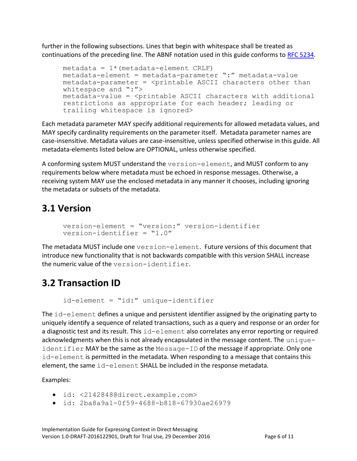further in the following subsections. Lines that begin with whitespace shall be treated as continuations of the preceding line. The ABNF notation used in this guide conforms to [RFC 5234.](http://tools.ietf.org/html/rfc5234)

```
metadata = 1*(metadata-element CRIF))metadata-element = metadata-parameter ":" metadata-value
metadata-parameter = <printable ASCII characters other than 
whitespace and ":">
metadata-value = <printable ASCII characters with additional 
restrictions as appropriate for each header; leading or 
trailing whitespace is ignored>
```
Each metadata parameter MAY specify additional requirements for allowed metadata values, and MAY specify cardinality requirements on the parameter itself. Metadata parameter names are case-insensitive. Metadata values are case-insensitive, unless specified otherwise in this guide. All metadata-elements listed below are OPTIONAL, unless otherwise specified.

A conforming system MUST understand the version-element, and MUST conform to any requirements below where metadata must be echoed in response messages. Otherwise, a receiving system MAY use the enclosed metadata in any manner it chooses, including ignoring the metadata or subsets of the metadata.

#### <span id="page-5-0"></span>**3.1 Version**

```
version-element = "version:" version-identifier
version-identifier = "1.0"
```
The metadata MUST include one version-element. Future versions of this document that introduce new functionality that is not backwards compatible with this version SHALL increase the numeric value of the version-identifier.

### <span id="page-5-1"></span>**3.2 Transaction ID**

```
id-element = "id:" unique-identifier
```
The id-element defines a unique and persistent identifier assigned by the originating party to uniquely identify a sequence of related transactions, such as a query and response or an order for a diagnostic test and its result. This  $id$ -element also correlates any error reporting or required acknowledgments when this is not already encapsulated in the message content. The uniqueidentifier MAY be the same as the Message-ID of the message if appropriate. Only one id-element is permitted in the metadata. When responding to a message that contains this element, the same id-element SHALL be included in the response metadata.

Examples:

- id: <2142848@direct.example.com>
- id: 2ba8a9a1-0f59-4688-b818-67930ae26979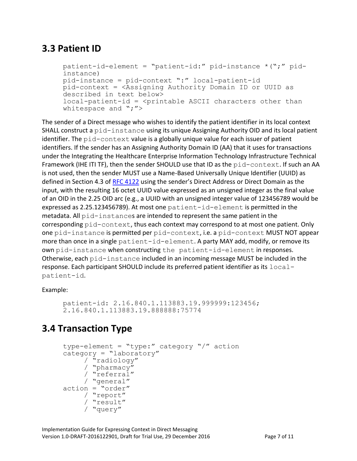#### <span id="page-6-0"></span>**3.3 Patient ID**

```
patient-id-element = "patient-id:" pid-instance *(";" pid-
instance)
pid-instance = pid-context ":" local-patient-id
pid-context = <Assigning Authority Domain ID or UUID as 
described in text below>
local-patient-id = <printable ASCII characters other than 
whitespace and ";">
```
The sender of a Direct message who wishes to identify the patient identifier in its local context SHALL construct a pid-instance using its unique Assigning Authority OID and its local patient identifier. The  $pid$ -context value is a globally unique value for each issuer of patient identifiers. If the sender has an Assigning Authority Domain ID (AA) that it uses for transactions under the Integrating the Healthcare Enterprise Information Technology Infrastructure Technical Framework (IHE ITI TF), then the sender SHOULD use that ID as the pid-context. If such an AA is not used, then the sender MUST use a Name-Based Universally Unique Identifier (UUID) as defined in Section 4.3 of [RFC 4122](http://tools.ietf.org/html/rfc4122) using the sender's Direct Address or Direct Domain as the input, with the resulting 16 octet UUID value expressed as an unsigned integer as the final value of an OID in the 2.25 OID arc (e.g., a UUID with an unsigned integer value of 123456789 would be expressed as 2.25.123456789). At most one patient-id-element is permitted in the metadata. All pid-instances are intended to represent the same patient in the corresponding pid-context, thus each context may correspond to at most one patient. Only one pid-instance is permitted per pid-context, i.e. a pid-context MUST NOT appear more than once in a single patient-id-element. A party MAY add, modify, or remove its own pid-instance when constructing the patient-id-element in responses. Otherwise, each pid-instance included in an incoming message MUST be included in the response. Each participant SHOULD include its preferred patient identifier as its  $local$ patient-id.

Example:

patient-id: 2.16.840.1.113883.19.999999:123456; 2.16.840.1.113883.19.888888:75774

#### <span id="page-6-1"></span>**3.4 Transaction Type**

```
type-element = "type:" category "/" action
category = "laboratory"
     / "radiology"
     / "pharmacy"
     / "referral"
    / "general"
action = "order"/ "report"
     / "result"
     / "query"
```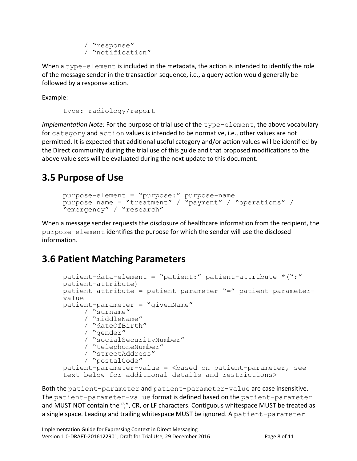```
/ "response"
/ "notification"
```
When a type-element is included in the metadata, the action is intended to identify the role of the message sender in the transaction sequence, i.e., a query action would generally be followed by a response action.

Example:

```
type: radiology/report
```
*Implementation Note:* For the purpose of trial use of the type-element, the above vocabulary for category and action values is intended to be normative, i.e., other values are not permitted. It is expected that additional useful category and/or action values will be identified by the Direct community during the trial use of this guide and that proposed modifications to the above value sets will be evaluated during the next update to this document.

#### <span id="page-7-0"></span>**3.5 Purpose of Use**

```
purpose-element = "purpose:" purpose-name
purpose name = "treatment" / "payment" / "operations" / 
"emergency" / "research"
```
When a message sender requests the disclosure of healthcare information from the recipient, the purpose-element identifies the purpose for which the sender will use the disclosed information.

#### <span id="page-7-1"></span>**3.6 Patient Matching Parameters**

```
patient-data-element = "patient:" patient-attribute *(";" 
patient-attribute)
patient-attribute = patient-parameter "=" patient-parameter-
value
patient-parameter = "givenName" 
    / "surname" 
     / "middleName"
     / "dateOfBirth" 
     / "gender" 
     / "socialSecurityNumber" 
     / "telephoneNumber" 
     / "streetAddress"
     / "postalCode" 
pattern-parameter-value = <br/>based on patient-parameter, see
text below for additional details and restrictions>
```
Both the patient-parameter and patient-parameter-value are case insensitive. The patient-parameter-value format is defined based on the patient-parameter and MUST NOT contain the ";", CR, or LF characters. Contiguous whitespace MUST be treated as a single space. Leading and trailing whitespace MUST be ignored. A patient-parameter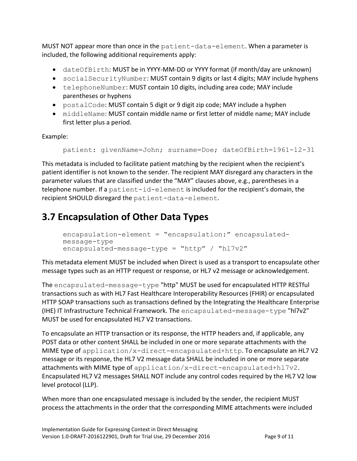MUST NOT appear more than once in the patient-data-element. When a parameter is included, the following additional requirements apply:

- dateOfBirth: MUST be in YYYY-MM-DD or YYYY format (if month/day are unknown)
- socialSecurityNumber: MUST contain 9 digits or last 4 digits; MAY include hyphens
- telephoneNumber: MUST contain 10 digits, including area code; MAY include parentheses or hyphens
- postalCode: MUST contain 5 digit or 9 digit zip code; MAY include a hyphen
- middleName: MUST contain middle name or first letter of middle name; MAY include first letter plus a period.

Example:

```
patient: givenName=John; surname=Doe; dateOfBirth=1961-12-31
```
This metadata is included to facilitate patient matching by the recipient when the recipient's patient identifier is not known to the sender. The recipient MAY disregard any characters in the parameter values that are classified under the "MAY" clauses above, e.g., parentheses in a telephone number. If a patient-id-element is included for the recipient's domain, the recipient SHOULD disregard the patient-data-element.

### <span id="page-8-0"></span>**3.7 Encapsulation of Other Data Types**

```
encapsulation-element = "encapsulation:" encapsulated-
message-type
encapsulated-message-type = "http" / "hl7v2"
```
This metadata element MUST be included when Direct is used as a transport to encapsulate other message types such as an HTTP request or response, or HL7 v2 message or acknowledgement.

The encapsulated-message-type "http" MUST be used for encapsulated HTTP RESTful transactions such as with HL7 Fast Healthcare Interoperability Resources (FHIR) or encapsulated HTTP SOAP transactions such as transactions defined by the Integrating the Healthcare Enterprise (IHE) IT Infrastructure Technical Framework. The encapsulated-message-type "hl7v2" MUST be used for encapsulated HL7 V2 transactions.

To encapsulate an HTTP transaction or its response, the HTTP headers and, if applicable, any POST data or other content SHALL be included in one or more separate attachments with the MIME type of application/x-direct-encapsulated+http. To encapsulate an HL7 V2 message or its response, the HL7 V2 message data SHALL be included in one or more separate attachments with MIME type of application/x-direct-encapsulated+hl7v2. Encapsulated HL7 V2 messages SHALL NOT include any control codes required by the HL7 V2 low level protocol (LLP).

When more than one encapsulated message is included by the sender, the recipient MUST process the attachments in the order that the corresponding MIME attachments were included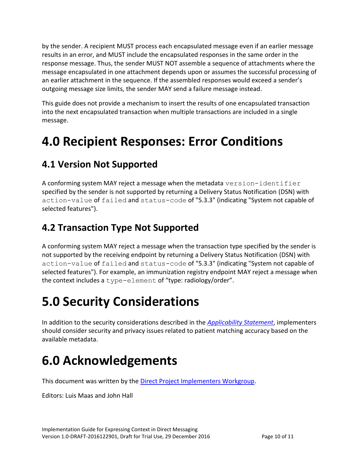by the sender. A recipient MUST process each encapsulated message even if an earlier message results in an error, and MUST include the encapsulated responses in the same order in the response message. Thus, the sender MUST NOT assemble a sequence of attachments where the message encapsulated in one attachment depends upon or assumes the successful processing of an earlier attachment in the sequence. If the assembled responses would exceed a sender's outgoing message size limits, the sender MAY send a failure message instead.

This guide does not provide a mechanism to insert the results of one encapsulated transaction into the next encapsulated transaction when multiple transactions are included in a single message.

### <span id="page-9-0"></span>**4.0 Recipient Responses: Error Conditions**

### <span id="page-9-1"></span>**4.1 Version Not Supported**

A conforming system MAY reject a message when the metadata version-identifier specified by the sender is not supported by returning a Delivery Status Notification (DSN) with action-value of failed and status-code of "5.3.3" (indicating "System not capable of selected features").

### <span id="page-9-2"></span>**4.2 Transaction Type Not Supported**

A conforming system MAY reject a message when the transaction type specified by the sender is not supported by the receiving endpoint by returning a Delivery Status Notification (DSN) with action-value of failed and status-code of "5.3.3" (indicating "System not capable of selected features"). For example, an immunization registry endpoint MAY reject a message when the context includes a type-element of "type: radiology/order".

### <span id="page-9-3"></span>**5.0 Security Considerations**

In addition to the security considerations described in the *[Applicability Statement](http://wiki.directproject.org/file/view/Applicability+Statement+for+Secure+Health+Transport+v1.2.pdf)*, implementers should consider security and privacy issues related to patient matching accuracy based on the available metadata.

# <span id="page-9-4"></span>**6.0 Acknowledgements**

This document was written by the [Direct Project Implementers Workgroup.](http://wiki.directproject.org/Implementers+Workgroup)

Editors: Luis Maas and John Hall